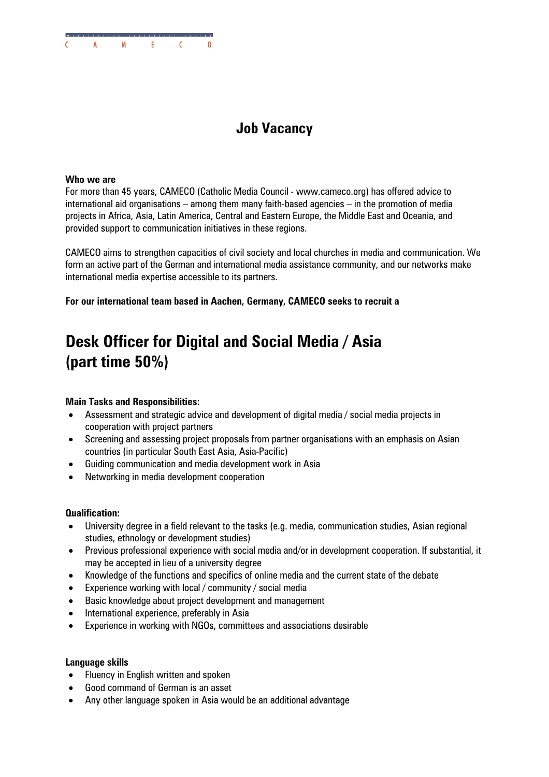

# **Job Vacancy**

#### **Who we are**

For more than 45 years, CAMECO (Catholic Media Council - www.cameco.org) has offered advice to international aid organisations – among them many faith-based agencies – in the promotion of media projects in Africa, Asia, Latin America, Central and Eastern Europe, the Middle East and Oceania, and provided support to communication initiatives in these regions.

CAMECO aims to strengthen capacities of civil society and local churches in media and communication. We form an active part of the German and international media assistance community, and our networks make international media expertise accessible to its partners.

**For our international team based in Aachen, Germany, CAMECO seeks to recruit a** 

# **Desk Officer for Digital and Social Media / Asia (part time 50%)**

# **Main Tasks and Responsibilities:**

- Assessment and strategic advice and development of digital media / social media projects in cooperation with project partners
- Screening and assessing project proposals from partner organisations with an emphasis on Asian countries (in particular South East Asia, Asia-Pacific)
- Guiding communication and media development work in Asia
- Networking in media development cooperation

## **Qualification:**

- University degree in a field relevant to the tasks (e.g. media, communication studies, Asian regional studies, ethnology or development studies)
- Previous professional experience with social media and/or in development cooperation. If substantial, it may be accepted in lieu of a university degree
- Knowledge of the functions and specifics of online media and the current state of the debate
- Experience working with local / community / social media
- Basic knowledge about project development and management
- International experience, preferably in Asia
- Experience in working with NGOs, committees and associations desirable

## **Language skills**

- Fluency in English written and spoken
- Good command of German is an asset
- Any other language spoken in Asia would be an additional advantage